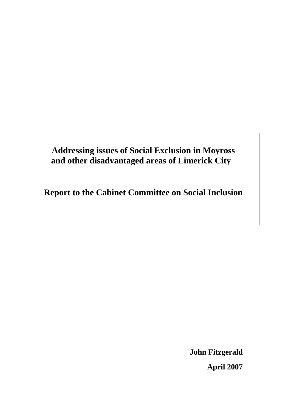# **Addressing issues of Social Exclusion in Moyross and other disadvantaged areas of Limerick City**

**Report to the Cabinet Committee on Social Inclusion** 

**John Fitzgerald April 2007**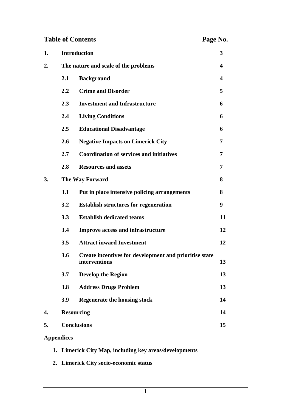| <b>Table of Contents</b> |                                      |                                                                         | Page No. |
|--------------------------|--------------------------------------|-------------------------------------------------------------------------|----------|
| 1.                       | <b>Introduction</b>                  |                                                                         | 3        |
| 2.                       | The nature and scale of the problems |                                                                         | 4        |
|                          | 2.1                                  | <b>Background</b>                                                       | 4        |
|                          | 2.2                                  | <b>Crime and Disorder</b>                                               | 5        |
|                          | 2.3                                  | <b>Investment and Infrastructure</b>                                    | 6        |
|                          | 2.4                                  | <b>Living Conditions</b>                                                | 6        |
|                          | 2.5                                  | <b>Educational Disadvantage</b>                                         | 6        |
|                          | 2.6                                  | <b>Negative Impacts on Limerick City</b>                                | 7        |
|                          | 2.7                                  | <b>Coordination of services and initiatives</b>                         | 7        |
|                          | 2.8                                  | <b>Resources and assets</b>                                             | 7        |
| 3.                       | <b>The Way Forward</b>               |                                                                         | 8        |
|                          | 3.1                                  | Put in place intensive policing arrangements                            | 8        |
|                          | 3.2                                  | <b>Establish structures for regeneration</b>                            | 9        |
|                          | 3.3                                  | <b>Establish dedicated teams</b>                                        | 11       |
|                          | 3.4                                  | Improve access and infrastructure                                       | 12       |
|                          | 3.5                                  | <b>Attract inward Investment</b>                                        | 12       |
|                          | 3.6                                  | Create incentives for development and prioritise state<br>interventions | 13       |
|                          | 3.7                                  | <b>Develop the Region</b>                                               | 13       |
|                          | 3.8                                  | <b>Address Drugs Problem</b>                                            | 13       |
|                          | 3.9                                  | <b>Regenerate the housing stock</b>                                     | 14       |
| 4.                       | <b>Resourcing</b>                    |                                                                         | 14       |
| 5.                       | <b>Conclusions</b>                   |                                                                         | 15       |

# **Appendices**

- **1. Limerick City Map, including key areas/developments**
- **2. Limerick City socio-economic status**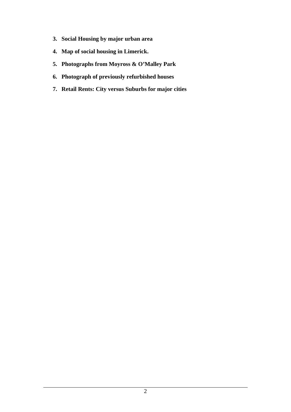- **3. Social Housing by major urban area**
- **4. Map of social housing in Limerick.**
- **5. Photographs from Moyross & O'Malley Park**
- **6. Photograph of previously refurbished houses**
- **7. Retail Rents: City versus Suburbs for major cities**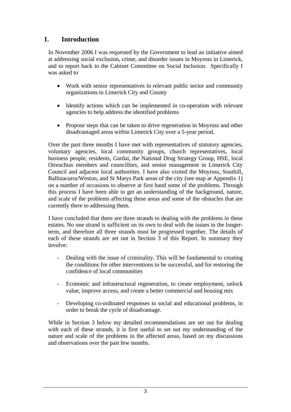# **1. Introduction**

In November 2006 I was requested by the Government to lead an initiative aimed at addressing social exclusion, crime, and disorder issues in Moyross in Limerick, and to report back to the Cabinet Committee on Social Inclusion. Specifically I was asked to

- Work with senior representatives in relevant public sector and community organizations in Limerick City and County
- Identify actions which can be implemented in co-operation with relevant agencies to help address the identified problems
- Propose steps that can be taken to drive regeneration in Moyross and other disadvantaged areas within Limerick City over a 5-year period.

Over the past three months I have met with representatives of statutory agencies, voluntary agencies, local community groups, church representatives, local business people, residents, Gardai, the National Drug Strategy Group, HSE, local Oireachtas members and councillors, and senior management in Limerick City Council and adjacent local authorities. I have also visited the Moyross, Southill, Ballinacurra/Weston, and St Marys Park areas of the city (see map at Appendix 1) on a number of occasions to observe at first hand some of the problems. Through this process I have been able to get an understanding of the background, nature, and scale of the problems affecting these areas and some of the obstacles that are currently there to addressing them.

I have concluded that there are three strands to dealing with the problems in these estates. No one strand is sufficient on its own to deal with the issues in the longerterm, and therefore all three strands must be progressed together. The details of each of these strands are set out in Section 3 of this Report. In summary they involve:

- Dealing with the issue of criminality. This will be fundamental to creating the conditions for other interventions to be successful, and for restoring the confidence of local communities
- Economic and infrastructural regeneration, to create employment, unlock value, improve access, and create a better commercial and housing mix
- Developing co-ordinated responses to social and educational problems, in order to break the cycle of disadvantage.

While in Section 3 below my detailed recommendations are set out for dealing with each of these strands, it is first useful to set out my understanding of the nature and scale of the problems in the affected areas, based on my discussions and observations over the past few months.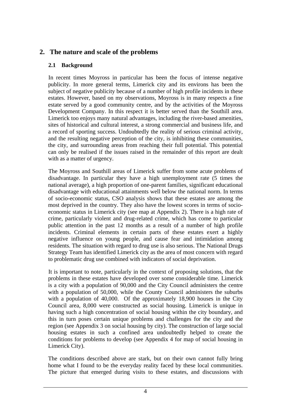# **2. The nature and scale of the problems**

## **2.1 Background**

In recent times Moyross in particular has been the focus of intense negative publicity. In more general terms, Limerick city and its environs has been the subject of negative publicity because of a number of high profile incidents in these estates. However, based on my observations, Moyross is in many respects a fine estate served by a good community centre, and by the activities of the Moyross Development Company. In this respect it is better served than the Southill area. Limerick too enjoys many natural advantages, including the river-based amenities, sites of historical and cultural interest, a strong commercial and business life, and a record of sporting success. Undoubtedly the reality of serious criminal activity, and the resulting negative perception of the city, is inhibiting these communities, the city, and surrounding areas from reaching their full potential. This potential can only be realised if the issues raised in the remainder of this report are dealt with as a matter of urgency.

The Moyross and Southill areas of Limerick suffer from some acute problems of disadvantage. In particular they have a high unemployment rate (5 times the national average), a high proportion of one-parent families, significant educational disadvantage with educational attainments well below the national norm. In terms of socio-economic status, CSO analysis shows that these estates are among the most deprived in the country. They also have the lowest scores in terms of socioeconomic status in Limerick city (see map at Appendix 2). There is a high rate of crime, particularly violent and drug-related crime, which has come to particular public attention in the past 12 months as a result of a number of high profile incidents. Criminal elements in certain parts of these estates exert a highly negative influence on young people, and cause fear and intimidation among residents. The situation with regard to drug use is also serious. The National Drugs Strategy Team has identified Limerick city as the area of most concern with regard to problematic drug use combined with indicators of social deprivation.

It is important to note, particularly in the context of proposing solutions, that the problems in these estates have developed over some considerable time. Limerick is a city with a population of 90,000 and the City Council administers the centre with a population of 50,000, while the County Council administers the suburbs with a population of 40,000. Of the approximately 18,900 houses in the City Council area, 8,000 were constructed as social housing. Limerick is unique in having such a high concentration of social housing within the city boundary, and this in turn poses certain unique problems and challenges for the city and the region (see Appendix 3 on social housing by city). The construction of large social housing estates in such a confined area undoubtedly helped to create the conditions for problems to develop (see Appendix 4 for map of social housing in Limerick City).

The conditions described above are stark, but on their own cannot fully bring home what I found to be the everyday reality faced by these local communities. The picture that emerged during visits to these estates, and discussions with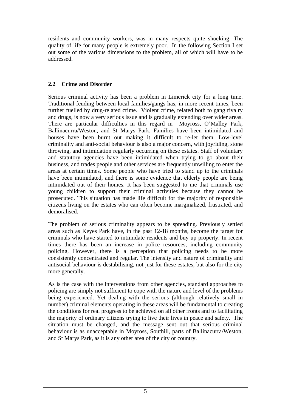residents and community workers, was in many respects quite shocking. The quality of life for many people is extremely poor. In the following Section I set out some of the various dimensions to the problem, all of which will have to be addressed.

## **2.2 Crime and Disorder**

Serious criminal activity has been a problem in Limerick city for a long time. Traditional feuding between local families/gangs has, in more recent times, been further fuelled by drug-related crime. Violent crime, related both to gang rivalry and drugs, is now a very serious issue and is gradually extending over wider areas. There are particular difficulties in this regard in Moyross, O'Malley Park, Ballinacurra/Weston, and St Marys Park. Families have been intimidated and houses have been burnt out making it difficult to re-let them. Low-level criminality and anti-social behaviour is also a major concern, with joyriding, stone throwing, and intimidation regularly occurring on these estates. Staff of voluntary and statutory agencies have been intimidated when trying to go about their business, and trades people and other services are frequently unwilling to enter the areas at certain times. Some people who have tried to stand up to the criminals have been intimidated, and there is some evidence that elderly people are being intimidated out of their homes. It has been suggested to me that criminals use young children to support their criminal activities because they cannot be prosecuted. This situation has made life difficult for the majority of responsible citizens living on the estates who can often become marginalized, frustrated, and demoralised.

The problem of serious criminality appears to be spreading. Previously settled areas such as Keyes Park have, in the past 12-18 months, become the target for criminals who have started to intimidate residents and buy up property. In recent times there has been an increase in police resources, including community policing. However, there is a perception that policing needs to be more consistently concentrated and regular. The intensity and nature of criminality and antisocial behaviour is destabilising, not just for these estates, but also for the city more generally.

As is the case with the interventions from other agencies, standard approaches to policing are simply not sufficient to cope with the nature and level of the problems being experienced. Yet dealing with the serious (although relatively small in number) criminal elements operating in these areas will be fundamental to creating the conditions for real progress to be achieved on all other fronts and to facilitating the majority of ordinary citizens trying to live their lives in peace and safety. The situation must be changed, and the message sent out that serious criminal behaviour is as unacceptable in Moyross, Southill, parts of Ballinacurra/Weston, and St Marys Park, as it is any other area of the city or country.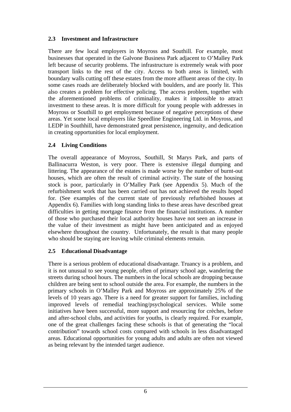#### **2.3 Investment and Infrastructure**

There are few local employers in Moyross and Southill. For example, most businesses that operated in the Galvone Business Park adjacent to O'Malley Park left because of security problems. The infrastructure is extremely weak with poor transport links to the rest of the city. Access to both areas is limited, with boundary walls cutting off these estates from the more affluent areas of the city. In some cases roads are deliberately blocked with boulders, and are poorly lit. This also creates a problem for effective policing. The access problem, together with the aforementioned problems of criminality, makes it impossible to attract investment to these areas. It is more difficult for young people with addresses in Moyross or Southill to get employment because of negative perceptions of these areas. Yet some local employers like Speedline Engineering Ltd. in Moyross, and LEDP in Southhill, have demonstrated great persistence, ingenuity, and dedication in creating opportunities for local employment.

## **2.4 Living Conditions**

The overall appearance of Moyross, Southill, St Marys Park, and parts of Ballinacurra Weston, is very poor. There is extensive illegal dumping and littering. The appearance of the estates is made worse by the number of burnt-out houses, which are often the result of criminal activity. The state of the housing stock is poor, particularly in O'Malley Park (see Appendix 5). Much of the refurbishment work that has been carried out has not achieved the results hoped for. (See examples of the current state of previously refurbished houses at Appendix 6). Families with long standing links to these areas have described great difficulties in getting mortgage finance from the financial institutions. A number of those who purchased their local authority houses have not seen an increase in the value of their investment as might have been anticipated and as enjoyed elsewhere throughout the country. Unfortunately, the result is that many people who should be staying are leaving while criminal elements remain.

#### **2.5 Educational Disadvantage**

There is a serious problem of educational disadvantage. Truancy is a problem, and it is not unusual to see young people, often of primary school age, wandering the streets during school hours. The numbers in the local schools are dropping because children are being sent to school outside the area. For example, the numbers in the primary schools in O'Malley Park and Moyross are approximately 25% of the levels of 10 years ago. There is a need for greater support for families, including improved levels of remedial teaching/psychological services. While some initiatives have been successful, more support and resourcing for crèches, before and after-school clubs, and activities for youths, is clearly required. For example, one of the great challenges facing these schools is that of generating the "local contribution" towards school costs compared with schools in less disadvantaged areas. Educational opportunities for young adults and adults are often not viewed as being relevant by the intended target audience.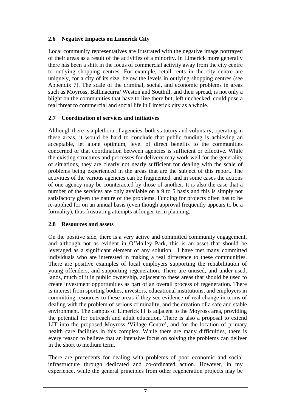## **2.6 Negative Impacts on Limerick City**

Local community representatives are frustrated with the negative image portrayed of their areas as a result of the activities of a minority. In Limerick more generally there has been a shift in the focus of commercial activity away from the city centre to outlying shopping centres. For example, retail rents in the city centre are uniquely, for a city of its size, below the levels in outlying shopping centres (see Appendix 7). The scale of the criminal, social, and economic problems in areas such as Moyross, Ballinacurra/ Weston and Southill, and their spread, is not only a blight on the communities that have to live there but, left unchecked, could pose a real threat to commercial and social life in Limerick city as a whole.

## **2.7 Coordination of services and initiatives**

Although there is a plethora of agencies, both statutory and voluntary, operating in these areas, it would be hard to conclude that public funding is achieving an acceptable, let alone optimum, level of direct benefits to the communities concerned or that coordination between agencies is sufficient or effective. While the existing structures and processes for delivery may work well for the generality of situations, they are clearly not nearly sufficient for dealing with the scale of problems being experienced in the areas that are the subject of this report. The activities of the various agencies can be fragmented, and in some cases the actions of one agency may be counteracted by those of another. It is also the case that a number of the services are only available on a 9 to 5 basis and this is simply not satisfactory given the nature of the problems. Funding for projects often has to be re-applied for on an annual basis (even though approval frequently appears to be a formality), thus frustrating attempts at longer-term planning.

## **2.8 Resources and assets**

On the positive side, there is a very active and committed community engagement, and although not as evident in O'Malley Park, this is an asset that should be leveraged as a significant element of any solution. I have met many committed individuals who are interested in making a real difference to these communities. There are positive examples of local employers supporting the rehabilitation of young offenders, and supporting regeneration. There are unused, and under-used, lands, much of it in public ownership, adjacent to these areas that should be used to create investment opportunities as part of an overall process of regeneration. There is interest from sporting bodies, investors, educational institutions, and employers in committing resources to these areas if they see evidence of real change in terms of dealing with the problem of serious criminality, and the creation of a safe and stable environment. The campus of Limerick IT is adjacent to the Moyross area, providing the potential for outreach and adult education. There is also a proposal to extend LIT into the proposed Moyross 'Village Centre', and for the location of primary health care facilities in this complex. While there are many difficulties, there is every reason to believe that an intensive focus on solving the problems can deliver in the short to medium term.

There are precedents for dealing with problems of poor economic and social infrastructure through dedicated and co-ordinated action. However, in my experience, while the general principles from other regeneration projects may be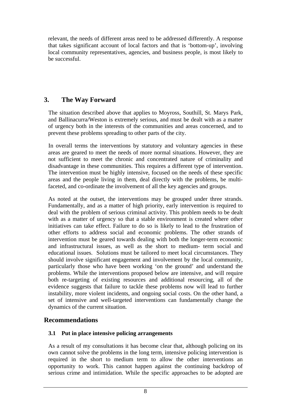relevant, the needs of different areas need to be addressed differently. A response that takes significant account of local factors and that is 'bottom-up', involving local community representatives, agencies, and business people, is most likely to be successful.

# **3. The Way Forward**

The situation described above that applies to Moyross, Southill, St. Marys Park, and Ballinacurra/Weston is extremely serious, and must be dealt with as a matter of urgency both in the interests of the communities and areas concerned, and to prevent these problems spreading to other parts of the city.

In overall terms the interventions by statutory and voluntary agencies in these areas are geared to meet the needs of more normal situations. However, they are not sufficient to meet the chronic and concentrated nature of criminality and disadvantage in these communities. This requires a different type of intervention. The intervention must be highly intensive, focused on the needs of these specific areas and the people living in them, deal directly with the problems, be multifaceted, and co-ordinate the involvement of all the key agencies and groups.

As noted at the outset, the interventions may be grouped under three strands. Fundamentally, and as a matter of high priority, early intervention is required to deal with the problem of serious criminal activity. This problem needs to be dealt with as a matter of urgency so that a stable environment is created where other initiatives can take effect. Failure to do so is likely to lead to the frustration of other efforts to address social and economic problems. The other strands of intervention must be geared towards dealing with both the longer-term economic and infrastructural issues, as well as the short to medium- term social and educational issues. Solutions must be tailored to meet local circumstances. They should involve significant engagement and involvement by the local community, particularly those who have been working 'on the ground' and understand the problems. While the interventions proposed below are intensive, and will require both re-targeting of existing resources and additional resourcing, all of the evidence suggests that failure to tackle these problems now will lead to further instability, more violent incidents, and ongoing social costs. On the other hand, a set of intensive and well-targeted interventions can fundamentally change the dynamics of the current situation.

## **Recommendations**

#### **3.1 Put in place intensive policing arrangements**

As a result of my consultations it has become clear that, although policing on its own cannot solve the problems in the long term, intensive policing intervention is required in the short to medium term to allow the other interventions an opportunity to work. This cannot happen against the continuing backdrop of serious crime and intimidation. While the specific approaches to be adopted are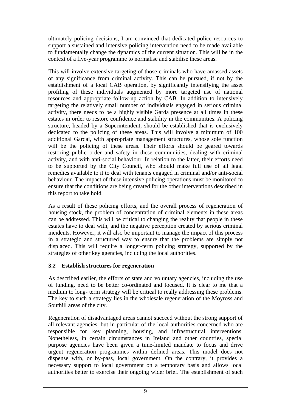ultimately policing decisions, I am convinced that dedicated police resources to support a sustained and intensive policing intervention need to be made available to fundamentally change the dynamics of the current situation. This will be in the context of a five-year programme to normalise and stabilise these areas.

This will involve extensive targeting of those criminals who have amassed assets of any significance from criminal activity. This can be pursued, if not by the establishment of a local CAB operation, by significantly intensifying the asset profiling of these individuals augmented by more targeted use of national resources and appropriate follow-up action by CAB. In addition to intensively targeting the relatively small number of individuals engaged in serious criminal activity, there needs to be a highly visible Garda presence at all times in these estates in order to restore confidence and stability in the communities. A policing structure, headed by a Superintendent, should be established that is exclusively dedicated to the policing of these areas. This will involve a minimum of 100 additional Gardai, with appropriate management structures, whose sole function will be the policing of these areas. Their efforts should be geared towards restoring public order and safety in these communities, dealing with criminal activity, and with anti-social behaviour. In relation to the latter, their efforts need to be supported by the City Council, who should make full use of all legal remedies available to it to deal with tenants engaged in criminal and/or anti-social behaviour. The impact of these intensive policing operations must be monitored to ensure that the conditions are being created for the other interventions described in this report to take hold.

As a result of these policing efforts, and the overall process of regeneration of housing stock, the problem of concentration of criminal elements in these areas can be addressed. This will be critical to changing the reality that people in these estates have to deal with, and the negative perception created by serious criminal incidents. However, it will also be important to manage the impact of this process in a strategic and structured way to ensure that the problems are simply not displaced. This will require a longer-term policing strategy, supported by the strategies of other key agencies, including the local authorities.

## **3.2 Establish structures for regeneration**

As described earlier, the efforts of state and voluntary agencies, including the use of funding, need to be better co-ordinated and focused. It is clear to me that a medium to long- term strategy will be critical to really addressing these problems. The key to such a strategy lies in the wholesale regeneration of the Moyross and Southill areas of the city.

Regeneration of disadvantaged areas cannot succeed without the strong support of all relevant agencies, but in particular of the local authorities concerned who are responsible for key planning, housing, and infrastructural interventions. Nonetheless, in certain circumstances in Ireland and other countries, special purpose agencies have been given a time-limited mandate to focus and drive urgent regeneration programmes within defined areas. This model does not dispense with, or by-pass, local government. On the contrary, it provides a necessary support to local government on a temporary basis and allows local authorities better to exercise their ongoing wider brief. The establishment of such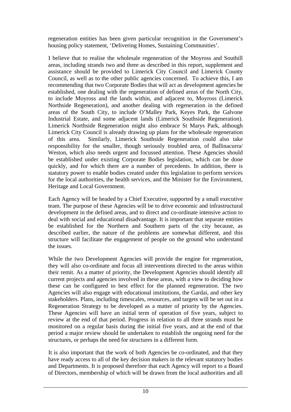regeneration entities has been given particular recognition in the Government's housing policy statement, 'Delivering Homes, Sustaining Communities'.

I believe that to realise the wholesale regeneration of the Moyross and Southill areas, including strands two and three as described in this report, supplement and assistance should be provided to Limerick City Council and Limerick County Council, as well as to the other public agencies concerned. To achieve this, I am recommending that two Corporate Bodies that will act as development agencies be established, one dealing with the regeneration of defined areas of the North City, to include Moyross and the lands within, and adjacent to, Moyross (Limerick Northside Regeneration), and another dealing with regeneration in the defined areas of the South City, to include O'Malley Park, Keyes Park, the Galvone Industrial Estate, and some adjacent lands (Limerick Southside Regeneration). Limerick Northside Regeneration might also embrace St Marys Park, although Limerick City Council is already drawing up plans for the wholesale regeneration of this area. Similarly, Limerick Southside Regeneration could also take responsibility for the smaller, though seriously troubled area, of Ballinacurra/ Weston, which also needs urgent and focussed attention. These Agencies should be established under existing Corporate Bodies legislation, which can be done quickly, and for which there are a number of precedents. In addition, there is statutory power to enable bodies created under this legislation to perform services for the local authorities, the health services, and the Minister for the Environment, Heritage and Local Government.

Each Agency will be headed by a Chief Executive, supported by a small executive team. The purpose of these Agencies will be to drive economic and infrastructural development in the defined areas, and to direct and co-ordinate intensive action to deal with social and educational disadvantage. It is important that separate entities be established for the Northern and Southern parts of the city because, as described earlier, the nature of the problems are somewhat different, and this structure will facilitate the engagement of people on the ground who understand the issues.

While the two Development Agencies will provide the engine for regeneration, they will also co-ordinate and focus all interventions directed to the areas within their remit. As a matter of priority, the Development Agencies should identify all current projects and agencies involved in these areas, with a view to deciding how these can be configured to best effect for the planned regeneration. The two Agencies will also engage with educational institutions, the Gardai, and other key stakeholders. Plans, including timescales, resources, and targets will be set out in a Regeneration Strategy to be developed as a matter of priority by the Agencies. These Agencies will have an initial term of operation of five years, subject to review at the end of that period. Progress in relation to all three strands must be monitored on a regular basis during the initial five years, and at the end of that period a major review should be undertaken to establish the ongoing need for the structures, or perhaps the need for structures in a different form.

It is also important that the work of both Agencies be co-ordinated, and that they have ready access to all of the key decision makers in the relevant statutory bodies and Departments. It is proposed therefore that each Agency will report to a Board of Directors, membership of which will be drawn from the local authorities and all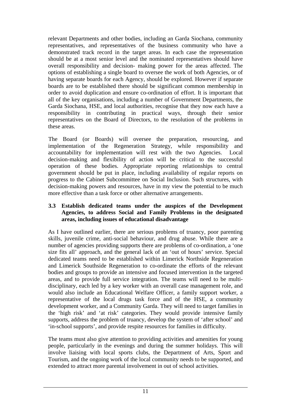relevant Departments and other bodies, including an Garda Siochana, community representatives, and representatives of the business community who have a demonstrated track record in the target areas. In each case the representation should be at a most senior level and the nominated representatives should have overall responsibility and decision- making power for the areas affected. The options of establishing a single board to oversee the work of both Agencies, or of having separate boards for each Agency, should be explored. However if separate boards are to be established there should be significant common membership in order to avoid duplication and ensure co-ordination of effort. It is important that all of the key organisations, including a number of Government Departments, the Garda Siochana, HSE, and local authorities, recognise that they now each have a responsibility in contributing in practical ways, through their senior representatives on the Board of Directors, to the resolution of the problems in these areas.

The Board (or Boards) will oversee the preparation, resourcing, and implementation of the Regeneration Strategy, while responsibility and accountability for implementation will rest with the two Agencies. Local decision-making and flexibility of action will be critical to the successful operation of these bodies. Appropriate reporting relationships to central government should be put in place, including availability of regular reports on progress to the Cabinet Subcommittee on Social Inclusion. Such structures, with decision-making powers and resources, have in my view the potential to be much more effective than a task force or other alternative arrangements.

#### **3.3 Establish dedicated teams under the auspices of the Development Agencies, to address Social and Family Problems in the designated areas, including issues of educational disadvantage**

As I have outlined earlier, there are serious problems of truancy, poor parenting skills, juvenile crime, anti-social behaviour, and drug abuse. While there are a number of agencies providing supports there are problems of co-ordination, a 'one size fits all' approach, and the general lack of an 'out of hours' service. Special dedicated teams need to be established within Limerick Northside Regeneration and Limerick Southside Regeneration to co-ordinate the efforts of the relevant bodies and groups to provide an intensive and focused intervention in the targeted areas, and to provide full service integration. The teams will need to be multidisciplinary, each led by a key worker with an overall case management role, and would also include an Educational Welfare Officer, a family support worker, a representative of the local drugs task force and of the HSE, a community development worker, and a Community Garda. They will need to target families in the 'high risk' and 'at risk' categories. They would provide intensive family supports, address the problem of truancy, develop the system of 'after school' and 'in-school supports', and provide respite resources for families in difficulty.

The teams must also give attention to providing activities and amenities for young people, particularly in the evenings and during the summer holidays. This will involve liaising with local sports clubs, the Department of Arts, Sport and Tourism, and the ongoing work of the local community needs to be supported, and extended to attract more parental involvement in out of school activities.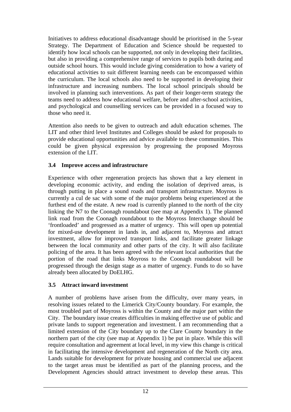Initiatives to address educational disadvantage should be prioritised in the 5-year Strategy. The Department of Education and Science should be requested to identify how local schools can be supported, not only in developing their facilities, but also in providing a comprehensive range of services to pupils both during and outside school hours. This would include giving consideration to how a variety of educational activities to suit different learning needs can be encompassed within the curriculum. The local schools also need to be supported in developing their infrastructure and increasing numbers. The local school principals should be involved in planning such interventions. As part of their longer-term strategy the teams need to address how educational welfare, before and after-school activities, and psychological and counselling services can be provided in a focused way to those who need it.

Attention also needs to be given to outreach and adult education schemes. The LIT and other third level Institutes and Colleges should be asked for proposals to provide educational opportunities and advice available to these communities. This could be given physical expression by progressing the proposed Moyross extension of the LIT.

## **3.4 Improve access and infrastructure**

Experience with other regeneration projects has shown that a key element in developing economic activity, and ending the isolation of deprived areas, is through putting in place a sound roads and transport infrastructure. Moyross is currently a cul de sac with some of the major problems being experienced at the furthest end of the estate. A new road is currently planned to the north of the city linking the N7 to the Coonagh roundabout (see map at Appendix 1). The planned link road from the Coonagh roundabout to the Moyross Interchange should be 'frontloaded' and progressed as a matter of urgency. This will open up potential for mixed-use development in lands in, and adjacent to, Moyross and attract investment, allow for improved transport links, and facilitate greater linkage between the local community and other parts of the city. It will also facilitate policing of the area. It has been agreed with the relevant local authorities that the portion of the road that links Moyross to the Coonagh roundabout will be progressed through the design stage as a matter of urgency. Funds to do so have already been allocated by DoELHG.

## **3.5 Attract inward investment**

A number of problems have arisen from the difficulty, over many years, in resolving issues related to the Limerick City/County boundary. For example, the most troubled part of Moyross is within the County and the major part within the City. The boundary issue creates difficulties in making effective use of public and private lands to support regeneration and investment. I am recommending that a limited extension of the City boundary up to the Clare County boundary in the northern part of the city (see map at Appendix 1) be put in place. While this will require consultation and agreement at local level, in my view this change is critical in facilitating the intensive development and regeneration of the North city area. Lands suitable for development for private housing and commercial use adjacent to the target areas must be identified as part of the planning process, and the Development Agencies should attract investment to develop these areas. This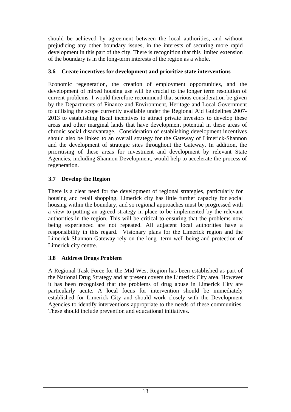should be achieved by agreement between the local authorities, and without prejudicing any other boundary issues, in the interests of securing more rapid development in this part of the city. There is recognition that this limited extension of the boundary is in the long-term interests of the region as a whole.

## **3.6 Create incentives for development and prioritize state interventions**

Economic regeneration, the creation of employment opportunities, and the development of mixed housing use will be crucial to the longer term resolution of current problems. I would therefore recommend that serious consideration be given by the Departments of Finance and Environment, Heritage and Local Government to utilising the scope currently available under the Regional Aid Guidelines 2007- 2013 to establishing fiscal incentives to attract private investors to develop these areas and other marginal lands that have development potential in these areas of chronic social disadvantage. Consideration of establishing development incentives should also be linked to an overall strategy for the Gateway of Limerick-Shannon and the development of strategic sites throughout the Gateway. In addition, the prioritising of these areas for investment and development by relevant State Agencies, including Shannon Development, would help to accelerate the process of regeneration.

## **3.7 Develop the Region**

 There is a clear need for the development of regional strategies, particularly for housing and retail shopping. Limerick city has little further capacity for social housing within the boundary, and so regional approaches must be progressed with a view to putting an agreed strategy in place to be implemented by the relevant authorities in the region. This will be critical to ensuring that the problems now being experienced are not repeated. All adjacent local authorities have a responsibility in this regard. Visionary plans for the Limerick region and the Limerick-Shannon Gateway rely on the long- term well being and protection of Limerick city centre.

## **3.8 Address Drugs Problem**

A Regional Task Force for the Mid West Region has been established as part of the National Drug Strategy and at present covers the Limerick City area. However it has been recognised that the problems of drug abuse in Limerick City are particularly acute. A local focus for intervention should be immediately established for Limerick City and should work closely with the Development Agencies to identify interventions appropriate to the needs of these communities. These should include prevention and educational initiatives.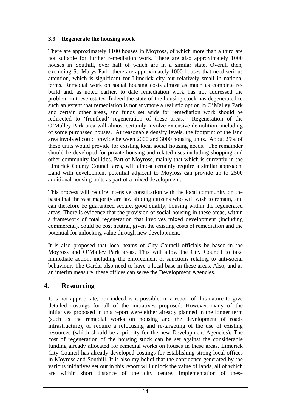## **3.9 Regenerate the housing stock**

There are approximately 1100 houses in Moyross, of which more than a third are not suitable for further remediation work. There are also approximately 1000 houses in Southill, over half of which are in a similar state. Overall then, excluding St. Marys Park, there are approximately 1000 houses that need serious attention, which is significant for Limerick city but relatively small in national terms. Remedial work on social housing costs almost as much as complete rebuild and, as noted earlier, to date remediation work has not addressed the problem in these estates. Indeed the state of the housing stock has degenerated to such an extent that remediation is not anymore a realistic option in O'Malley Park and certain other areas, and funds set aside for remediation work should be redirected to 'frontload' regeneration of these areas. Regeneration of the O'Malley Park area will almost certainly involve extensive demolition, including of some purchased houses. At reasonable density levels, the footprint of the land area involved could provide between 2000 and 3000 housing units. About 25% of these units would provide for existing local social housing needs. The remainder should be developed for private housing and related uses including shopping and other community facilities. Part of Moyross, mainly that which is currently in the Limerick County Council area, will almost certainly require a similar approach. Land with development potential adjacent to Moyross can provide up to 2500 additional housing units as part of a mixed development.

This process will require intensive consultation with the local community on the basis that the vast majority are law abiding citizens who will wish to remain, and can therefore be guaranteed secure, good quality, housing within the regenerated areas. There is evidence that the provision of social housing in these areas, within a framework of total regeneration that involves mixed development (including commercial), could be cost neutral, given the existing costs of remediation and the potential for unlocking value through new development.

It is also proposed that local teams of City Council officials be based in the Moyross and O'Malley Park areas. This will allow the City Council to take immediate action, including the enforcement of sanctions relating to anti-social behaviour. The Gardai also need to have a local base in these areas. Also, and as an interim measure, these offices can serve the Development Agencies.

## **4. Resourcing**

It is not appropriate, nor indeed is it possible, in a report of this nature to give detailed costings for all of the initiatives proposed. However many of the initiatives proposed in this report were either already planned in the longer term (such as the remedial works on housing and the development of roads infrastructure), or require a refocusing and re-targeting of the use of existing resources (which should be a priority for the new Development Agencies). The cost of regeneration of the housing stock can be set against the considerable funding already allocated for remedial works on houses in these areas. Limerick City Council has already developed costings for establishing strong local offices in Moyross and Southill. It is also my belief that the confidence generated by the various initiatives set out in this report will unlock the value of lands, all of which are within short distance of the city centre. Implementation of these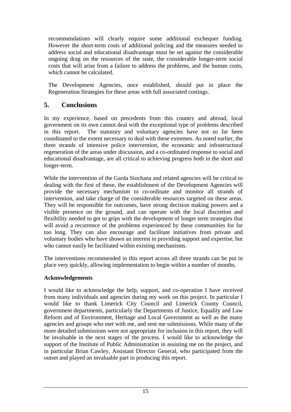recommendations will clearly require some additional exchequer funding. However the short-term costs of additional policing and the measures needed to address social and educational disadvantage must be set against the considerable ongoing drag on the resources of the state, the considerable longer-term social costs that will arise from a failure to address the problems, and the human costs, which cannot be calculated.

The Development Agencies, once established, should put in place the Regeneration Strategies for these areas with full associated costings.

# **5. Conclusions**

In my experience, based on precedents from this country and abroad, local government on its own cannot deal with the exceptional type of problems described in this report. The statutory and voluntary agencies have not so far been coordinated to the extent necessary to deal with these extremes. As noted earlier, the three strands of intensive police intervention, the economic and infrastructural regeneration of the areas under discussion, and a co-ordinated response to social and educational disadvantage, are all critical to achieving progress both in the short and longer-term.

While the intervention of the Garda Siochana and related agencies will be critical to dealing with the first of these, the establishment of the Development Agencies will provide the necessary mechanism to co-ordinate and monitor all strands of intervention, and take charge of the considerable resources targeted on these areas. They will be responsible for outcomes, have strong decision making powers and a visible presence on the ground, and can operate with the local discretion and flexibility needed to get to grips with the development of longer term strategies that will avoid a recurrence of the problems experienced by these communities for far too long. They can also encourage and facilitate initiatives from private and voluntary bodies who have shown an interest in providing support and expertise, but who cannot easily be facilitated within existing mechanisms.

The interventions recommended in this report across all three strands can be put in place very quickly, allowing implementation to begin within a number of months.

#### **Acknowledgements**

I would like to acknowledge the help, support, and co-operation I have received from many individuals and agencies during my work on this project. In particular I would like to thank Limerick City Council and Limerick County Council, government departments, particularly the Departments of Justice, Equality and Law Reform and of Environment, Heritage and Local Government as well as the many agencies and groups who met with me, and sent me submissions. While many of the more detailed submissions were not appropriate for inclusion in this report, they will be invaluable in the next stages of the process. I would like to acknowledge the support of the Institute of Public Administration in assisting me on the project, and in particular Brian Cawley, Assistant Director General, who participated from the outset and played an invaluable part in producing this report.